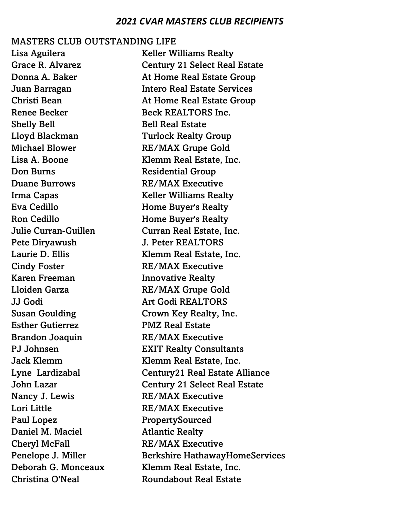#### MASTERS CLUB OUTSTANDING LIFE

Shelly Bell **Bell Real Estate** Don Burns Residential Group Duane Burrows RE/MAX Executive Pete Diryawush J. Peter REALTORS Cindy Foster RE/MAX Executive Karen Freeman **Innovative Realty** Esther Gutierrez PMZ Real Estate Brandon Joaquin RE/MAX Executive Nancy J. Lewis RE/MAX Executive Lori Little **RE/MAX** Executive Paul Lopez PropertySourced Daniel M. Maciel **Atlantic Realty** Cheryl McFall RE/MAX Executive

Lisa Aguilera **Keller Williams Realty** Grace R. Alvarez Century 21 Select Real Estate Donna A. Baker **At Home Real Estate Group** Juan Barragan Intero Real Estate Services Christi Bean At Home Real Estate Group Renee Becker Beck REALTORS Inc. Lloyd Blackman Turlock Realty Group Michael Blower RE/MAX Grupe Gold Lisa A. Boone Klemm Real Estate, Inc. Irma Capas Keller Williams Realty Eva Cedillo **Home Buyer's Realty** Ron Cedillo **Home Buyer's Realty** Julie Curran-Guillen Curran Real Estate, Inc. Laurie D. Ellis Klemm Real Estate, Inc. Lloiden Garza RE/MAX Grupe Gold JJ Godi Art Godi REALTORS Susan Goulding Crown Key Realty, Inc. PJ Johnsen EXIT Realty Consultants Jack Klemm **Klemm** Real Estate, Inc. Lyne Lardizabal Century21 Real Estate Alliance John Lazar Century 21 Select Real Estate Penelope J. Miller Berkshire HathawayHomeServices Deborah G. Monceaux Klemm Real Estate, Inc. Christina O'Neal **Roundabout Real Estate**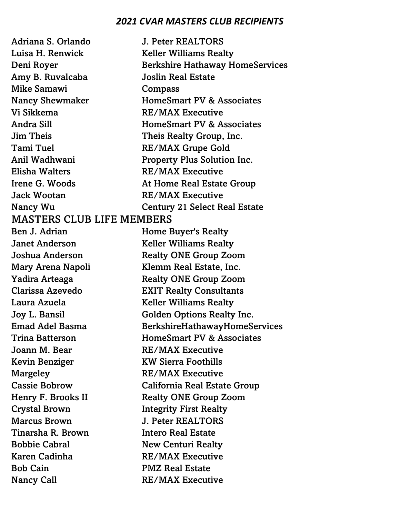Adriana S. Orlando J. Peter REALTORS Luisa H. Renwick Keller Williams Realty Deni Royer Berkshire Hathaway HomeServices Amy B. Ruvalcaba Joslin Real Estate Mike Samawi Compass Nancy Shewmaker HomeSmart PV & Associates Vi Sikkema RE/MAX Executive Andra Sill **HomeSmart PV & Associates** Jim Theis Theis Realty Group, Inc. Tami Tuel RE/MAX Grupe Gold Anil Wadhwani Property Plus Solution Inc. Elisha Walters RE/MAX Executive Irene G. Woods **At Home Real Estate Group** Jack Wootan RE/MAX Executive Nancy Wu Century 21 Select Real Estate MASTERS CLUB LIFE MEMBERS Ben J. Adrian **Home Buyer's Realty Janet Anderson** Keller Williams Realty Joshua Anderson Realty ONE Group Zoom Mary Arena Napoli Klemm Real Estate, Inc. Yadira Arteaga Realty ONE Group Zoom Clarissa Azevedo EXIT Realty Consultants Laura Azuela Keller Williams Realty Joy L. Bansil Golden Options Realty Inc. Emad Adel Basma BerkshireHathawayHomeServices Trina Batterson **HomeSmart PV & Associates** Joann M. Bear RE/MAX Executive Kevin Benziger KW Sierra Foothills Margeley RE/MAX Executive Cassie Bobrow California Real Estate Group Henry F. Brooks II Realty ONE Group Zoom Crystal Brown Integrity First Realty Marcus Brown J. Peter REALTORS Tinarsha R. Brown Intero Real Estate Bobbie Cabral New Centuri Realty Karen Cadinha RE/MAX Executive Bob Cain PMZ Real Estate Nancy Call RE/MAX Executive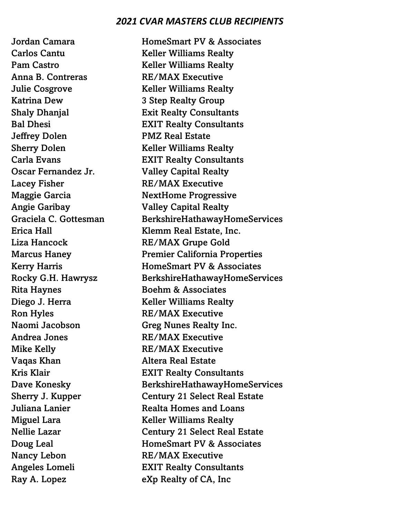Carlos Cantu Keller Williams Realty Pam Castro **Keller Williams Realty** Anna B. Contreras RE/MAX Executive **Julie Cosgrove Keller Williams Realty** Katrina Dew 3 Step Realty Group Jeffrey Dolen PMZ Real Estate Sherry Dolen Keller Williams Realty Oscar Fernandez Jr. Valley Capital Realty Lacey Fisher RE/MAX Executive Angie Garibay Valley Capital Realty Liza Hancock RE/MAX Grupe Gold Rita Haynes Boehm & Associates Diego J. Herra Keller Williams Realty Ron Hyles RE/MAX Executive Andrea Jones RE/MAX Executive Mike Kelly **RE/MAX** Executive Vaqas Khan Altera Real Estate Miguel Lara Keller Williams Realty Nancy Lebon RE/MAX Executive

Jordan Camara **HomeSmart PV & Associates** Shaly Dhanjal Exit Realty Consultants Bal Dhesi EXIT Realty Consultants Carla Evans EXIT Realty Consultants Maggie Garcia NextHome Progressive Graciela C. Gottesman BerkshireHathawayHomeServices Erica Hall Klemm Real Estate, Inc. Marcus Haney Premier California Properties Kerry Harris **HomeSmart PV & Associates** Rocky G.H. Hawrysz BerkshireHathawayHomeServices Naomi Jacobson Greg Nunes Realty Inc. Kris Klair EXIT Realty Consultants Dave Konesky BerkshireHathawayHomeServices Sherry J. Kupper Century 21 Select Real Estate Juliana Lanier Realta Homes and Loans Nellie Lazar Century 21 Select Real Estate Doug Leal **HomeSmart PV & Associates** Angeles Lomeli EXIT Realty Consultants Ray A. Lopez eXp Realty of CA, Inc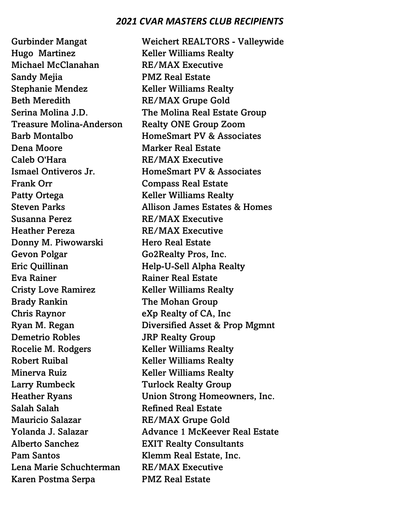Hugo Martinez Keller Williams Realty Michael McClanahan RE/MAX Executive Sandy Mejia PMZ Real Estate Stephanie Mendez Keller Williams Realty Beth Meredith RE/MAX Grupe Gold Treasure Molina-Anderson Realty ONE Group Zoom Dena Moore Marker Real Estate Caleb O'Hara RE/MAX Executive Frank Orr **Compass Real Estate** Patty Ortega Keller Williams Realty Susanna Perez RE/MAX Executive Heather Pereza RE/MAX Executive Donny M. Piwowarski Hero Real Estate Gevon Polgar Go2Realty Pros, Inc. Eric Quillinan Help-U-Sell Alpha Realty Eva Rainer **Rainer Real Estate** Cristy Love Ramirez Keller Williams Realty Brady Rankin The Mohan Group Chris Raynor eXp Realty of CA, Inc Demetrio Robles **JRP Realty Group** Rocelie M. Rodgers Keller Williams Realty Robert Ruibal Keller Williams Realty Minerva Ruiz **Keller Williams Realty** Larry Rumbeck Turlock Realty Group Salah Salah Refined Real Estate Mauricio Salazar RE/MAX Grupe Gold Alberto Sanchez EXIT Realty Consultants Pam Santos Klemm Real Estate, Inc. Lena Marie Schuchterman RE/MAX Executive Karen Postma Serpa PMZ Real Estate

Gurbinder Mangat Weichert REALTORS - Valleywide Serina Molina J.D. The Molina Real Estate Group Barb Montalbo HomeSmart PV & Associates Ismael Ontiveros Jr. HomeSmart PV & Associates Steven Parks Allison James Estates & Homes Ryan M. Regan Diversified Asset & Prop Mgmnt Heather Ryans Union Strong Homeowners, Inc. Yolanda J. Salazar **Advance 1 McKeever Real Estate**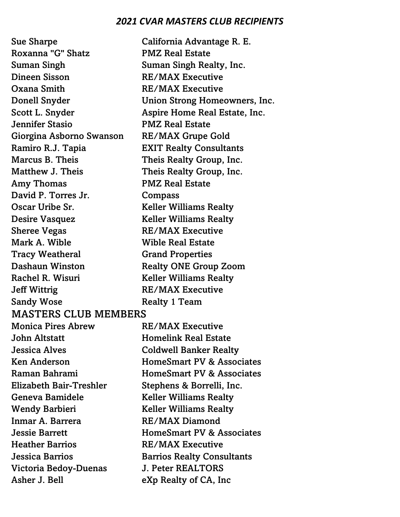Sue Sharpe California Advantage R. E. Roxanna "G" Shatz PMZ Real Estate Suman Singh Suman Singh Realty, Inc. Dineen Sisson RE/MAX Executive Oxana Smith RE/MAX Executive Donell Snyder **Union Strong Homeowners, Inc.** Scott L. Snyder **Aspire Home Real Estate, Inc.** Jennifer Stasio PMZ Real Estate Giorgina Asborno Swanson RE/MAX Grupe Gold Ramiro R.J. Tapia EXIT Realty Consultants Marcus B. Theis Theis Realty Group, Inc. Matthew J. Theis **Theis Realty Group**, Inc. Amy Thomas **PMZ** Real Estate David P. Torres Jr. Compass Oscar Uribe Sr. Keller Williams Realty Desire Vasquez Keller Williams Realty Sheree Vegas RE/MAX Executive Mark A. Wible **Wible Real Estate** Tracy Weatheral Grand Properties Dashaun Winston Realty ONE Group Zoom Rachel R. Wisuri Keller Williams Realty Jeff Wittrig RE/MAX Executive Sandy Wose Realty 1 Team MASTERS CLUB MEMBERS Monica Pires Abrew RE/MAX Executive John Altstatt **Homelink Real Estate** Jessica Alves Coldwell Banker Realty Ken Anderson **HomeSmart PV & Associates** Raman Bahrami **HomeSmart PV & Associates** Elizabeth Bair-Treshler Stephens & Borrelli, Inc. Geneva Bamidele Keller Williams Realty Wendy Barbieri Keller Williams Realty Inmar A. Barrera RE/MAX Diamond **Jessie Barrett HomeSmart PV & Associates** Heather Barrios RE/MAX Executive Jessica Barrios Barrios Realty Consultants Victoria Bedoy-Duenas J. Peter REALTORS Asher J. Bell eXp Realty of CA, Inc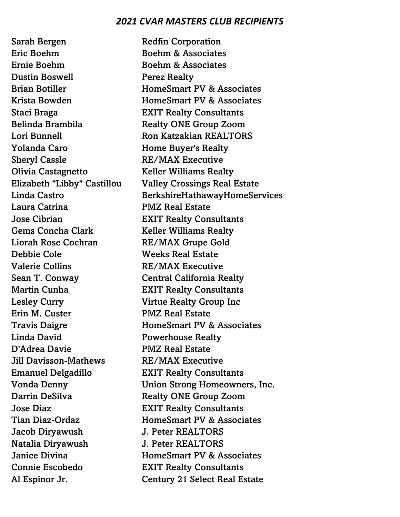Sarah Bergen Redfin Corporation Eric Boehm Boehm & Associates Ernie Boehm Boehm & Associates Dustin Boswell Perez Realty Staci Braga EXIT Realty Consultants Belinda Brambila Realty ONE Group Zoom Yolanda Caro **Home Buyer's Realty** Sheryl Cassle RE/MAX Executive Olivia Castagnetto Keller Williams Realty Laura Catrina PMZ Real Estate Jose Cibrian EXIT Realty Consultants Gems Concha Clark Keller Williams Realty Liorah Rose Cochran RE/MAX Grupe Gold Debbie Cole Weeks Real Estate Valerie Collins RE/MAX Executive Sean T. Conway **Central California Realty** Martin Cunha **EXIT Realty Consultants** Lesley Curry Virtue Realty Group Inc Erin M. Custer PMZ Real Estate Linda David **Powerhouse Realty** D'Adrea Davie PMZ Real Estate Jill Davisson-Mathews RE/MAX Executive Emanuel Delgadillo EXIT Realty Consultants Darrin DeSilva Realty ONE Group Zoom Jose Diaz EXIT Realty Consultants Jacob Diryawush J. Peter REALTORS Natalia Diryawush J. Peter REALTORS Connie Escobedo EXIT Realty Consultants

Brian Botiller **HomeSmart PV & Associates** Krista Bowden **HomeSmart PV & Associates** Lori Bunnell **Ron Katzakian REALTORS** Elizabeth "Libby" Castillou Valley Crossings Real Estate Linda Castro BerkshireHathawayHomeServices Travis Daigre **HomeSmart PV & Associates** Vonda Denny Union Strong Homeowners, Inc. Tian Diaz-Ordaz HomeSmart PV & Associates **Janice Divina HomeSmart PV & Associates** Al Espinor Jr. Century 21 Select Real Estate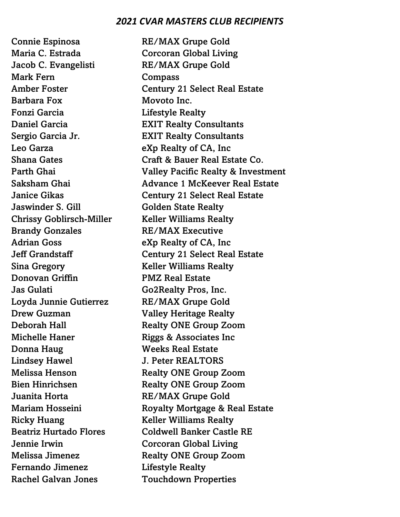Connie Espinosa RE/MAX Grupe Gold Maria C. Estrada Corcoran Global Living Jacob C. Evangelisti RE/MAX Grupe Gold Mark Fern Compass Barbara Fox Movoto Inc. Fonzi Garcia Lifestyle Realty Daniel Garcia EXIT Realty Consultants Sergio Garcia Jr. EXIT Realty Consultants Leo Garza **eXp Realty of CA**, Inc Jaswinder S. Gill Golden State Realty Chrissy Goblirsch-Miller Keller Williams Realty Brandy Gonzales RE/MAX Executive Adrian Goss eXp Realty of CA, Inc Sina Gregory **Keller Williams Realty** Donovan Griffin PMZ Real Estate Jas Gulati Go2Realty Pros, Inc. Loyda Junnie Gutierrez RE/MAX Grupe Gold Drew Guzman Valley Heritage Realty Michelle Haner Riggs & Associates Inc Donna Haug Weeks Real Estate Lindsey Hawel J. Peter REALTORS Juanita Horta RE/MAX Grupe Gold Ricky Huang Keller Williams Realty Jennie Irwin Corcoran Global Living Fernando Jimenez Lifestyle Realty Rachel Galvan Jones Touchdown Properties

Amber Foster **Century 21 Select Real Estate** Shana Gates **Craft & Bauer Real Estate Co.** Parth Ghai Valley Pacific Realty & Investment Saksham Ghai **Advance 1 McKeever Real Estate** Janice Gikas Century 21 Select Real Estate Jeff Grandstaff Century 21 Select Real Estate Deborah Hall Realty ONE Group Zoom Melissa Henson Realty ONE Group Zoom Bien Hinrichsen Realty ONE Group Zoom Mariam Hosseini Royalty Mortgage & Real Estate Beatriz Hurtado Flores Coldwell Banker Castle RE Melissa Jimenez Realty ONE Group Zoom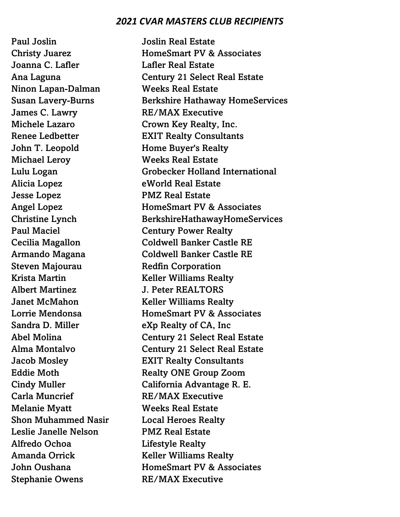Paul Joslin **Paul Joslin Real Estate** Joanna C. Lafler **Lafler Real Estate** Ninon Lapan-Dalman Weeks Real Estate James C. Lawry RE/MAX Executive Michele Lazaro **Crown Key Realty, Inc.** John T. Leopold **Home Buyer's Realty** Michael Leroy Weeks Real Estate Alicia Lopez **eWorld Real Estate** Jesse Lopez PMZ Real Estate Paul Maciel **Century Power Realty** Steven Majourau Redfin Corporation Krista Martin Keller Williams Realty Albert Martinez J. Peter REALTORS **Janet McMahon** Keller Williams Realty Sandra D. Miller eXp Realty of CA, Inc Carla Muncrief RE/MAX Executive Melanie Myatt Weeks Real Estate Shon Muhammed Nasir Local Heroes Realty Leslie Janelle Nelson PMZ Real Estate Alfredo Ochoa Lifestyle Realty Amanda Orrick Keller Williams Realty Stephanie Owens RE/MAX Executive

Christy Juarez HomeSmart PV & Associates Ana Laguna Century 21 Select Real Estate Susan Lavery-Burns Berkshire Hathaway HomeServices Renee Ledbetter **EXIT Realty Consultants** Lulu Logan Grobecker Holland International Angel Lopez HomeSmart PV & Associates Christine Lynch BerkshireHathawayHomeServices Cecilia Magallon Coldwell Banker Castle RE Armando Magana Coldwell Banker Castle RE Lorrie Mendonsa **HomeSmart PV & Associates** Abel Molina Century 21 Select Real Estate Alma Montalvo Century 21 Select Real Estate Jacob Mosley EXIT Realty Consultants Eddie Moth Realty ONE Group Zoom Cindy Muller California Advantage R. E. John Oushana **HomeSmart PV & Associates**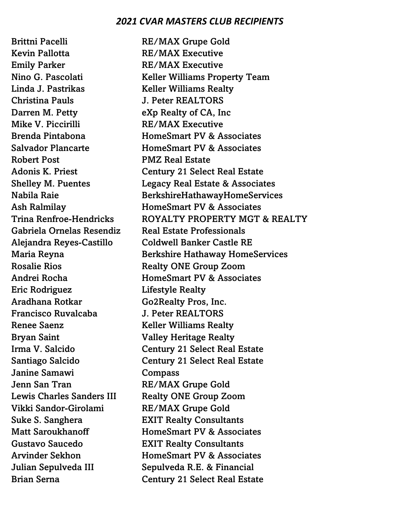Kevin Pallotta RE/MAX Executive Emily Parker RE/MAX Executive Linda J. Pastrikas Keller Williams Realty Christina Pauls J. Peter REALTORS Darren M. Petty eXp Realty of CA, Inc Mike V. Piccirilli RE/MAX Executive Robert Post **PMZ** Real Estate Gabriela Ornelas Resendiz Real Estate Professionals Alejandra Reyes-Castillo Coldwell Banker Castle RE Rosalie Rios Realty ONE Group Zoom Eric Rodriguez Lifestyle Realty Aradhana Rotkar Go2Realty Pros, Inc. Francisco Ruvalcaba J. Peter REALTORS Renee Saenz Keller Williams Realty Bryan Saint Valley Heritage Realty Janine Samawi Compass Jenn San Tran RE/MAX Grupe Gold Lewis Charles Sanders III Realty ONE Group Zoom Vikki Sandor-Girolami RE/MAX Grupe Gold Suke S. Sanghera **EXIT Realty Consultants** Gustavo Saucedo EXIT Realty Consultants

Brittni Pacelli RE/MAX Grupe Gold Nino G. Pascolati Keller Williams Property Team Brenda Pintabona HomeSmart PV & Associates Salvador Plancarte **HomeSmart PV & Associates** Adonis K. Priest Century 21 Select Real Estate Shelley M. Puentes **Legacy Real Estate & Associates** Nabila Raie BerkshireHathawayHomeServices Ash Ralmilay **HomeSmart PV & Associates** Trina Renfroe-Hendricks ROYALTY PROPERTY MGT & REALTY Maria Reyna Berkshire Hathaway HomeServices Andrei Rocha **HomeSmart PV & Associates** Irma V. Salcido Century 21 Select Real Estate Santiago Salcido Century 21 Select Real Estate Matt Saroukhanoff HomeSmart PV & Associates Arvinder Sekhon HomeSmart PV & Associates Julian Sepulveda III Sepulveda R.E. & Financial Brian Serna Century 21 Select Real Estate